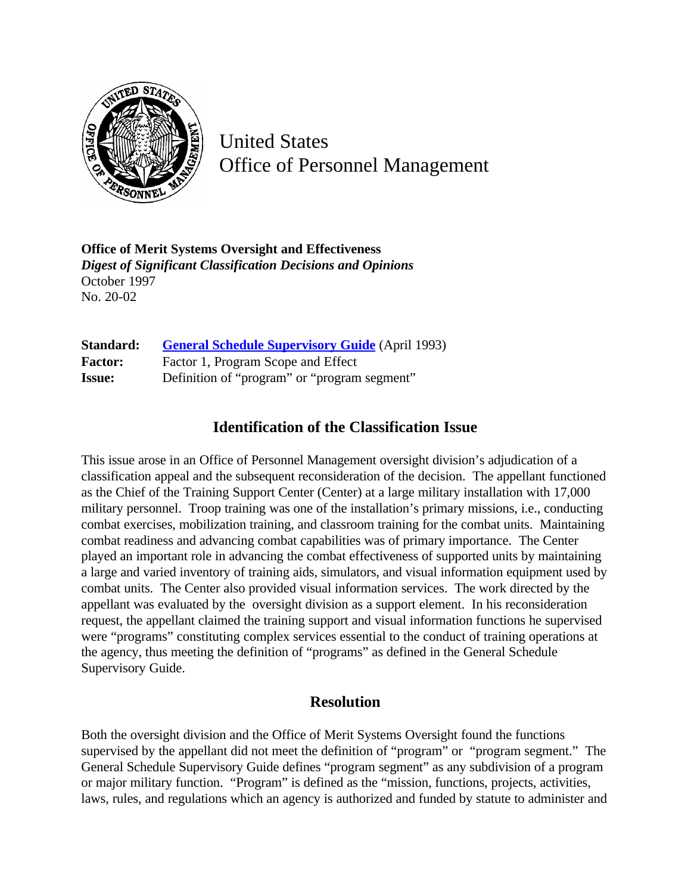

United States Office of Personnel Management

**Office of Merit Systems Oversight and Effectiveness** *Digest of Significant Classification Decisions and Opinions* October 1997 No. 20-02

| Standard:      | <b>General Schedule Supervisory Guide</b> (April 1993) |
|----------------|--------------------------------------------------------|
| <b>Factor:</b> | Factor 1, Program Scope and Effect                     |
| <b>Issue:</b>  | Definition of "program" or "program segment"           |

## **Identification of the Classification Issue**

This issue arose in an Office of Personnel Management oversight division's adjudication of a classification appeal and the subsequent reconsideration of the decision. The appellant functioned as the Chief of the Training Support Center (Center) at a large military installation with 17,000 military personnel. Troop training was one of the installation's primary missions, i.e., conducting combat exercises, mobilization training, and classroom training for the combat units. Maintaining combat readiness and advancing combat capabilities was of primary importance. The Center played an important role in advancing the combat effectiveness of supported units by maintaining a large and varied inventory of training aids, simulators, and visual information equipment used by combat units. The Center also provided visual information services. The work directed by the appellant was evaluated by the oversight division as a support element. In his reconsideration request, the appellant claimed the training support and visual information functions he supervised were "programs" constituting complex services essential to the conduct of training operations at the agency, thus meeting the definition of "programs" as defined in the General Schedule Supervisory Guide.

## **Resolution**

Both the oversight division and the Office of Merit Systems Oversight found the functions supervised by the appellant did not meet the definition of "program" or "program segment." The General Schedule Supervisory Guide defines "program segment" as any subdivision of a program or major military function. "Program" is defined as the "mission, functions, projects, activities, laws, rules, and regulations which an agency is authorized and funded by statute to administer and